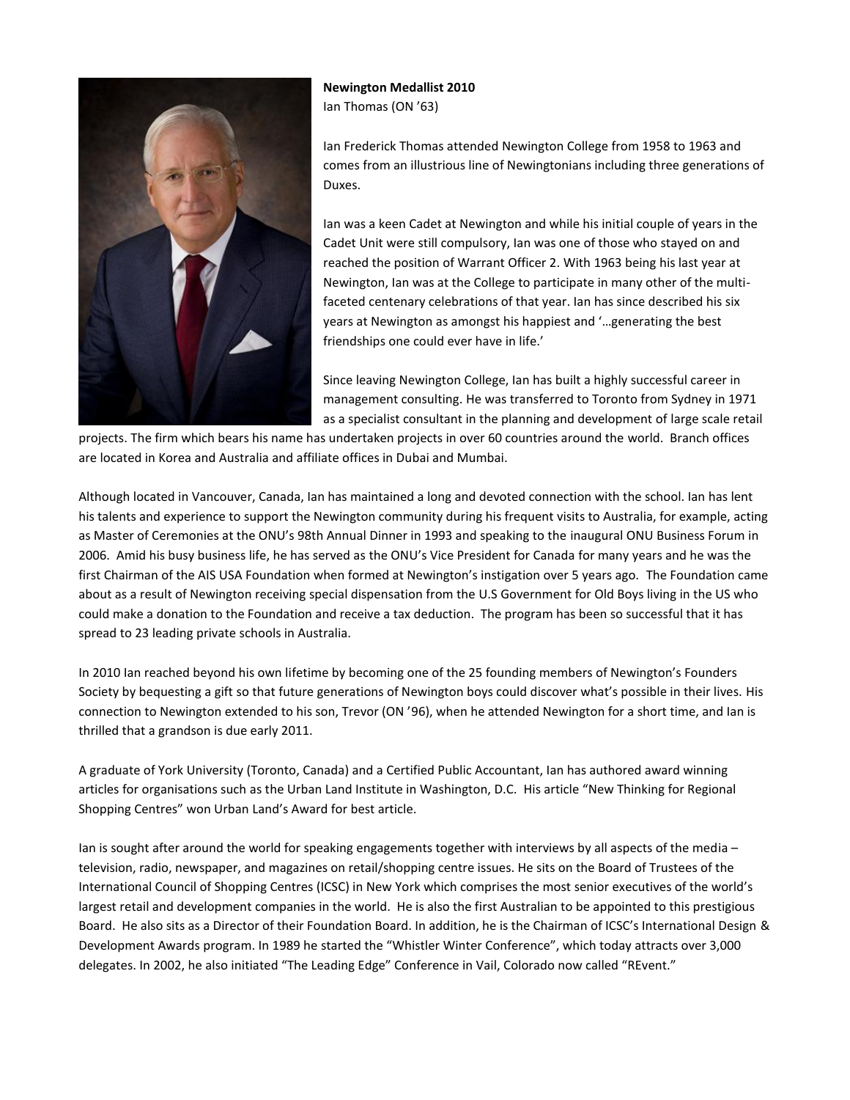

**Newington Medallist 2010** Ian Thomas (ON '63)

Ian Frederick Thomas attended Newington College from 1958 to 1963 and comes from an illustrious line of Newingtonians including three generations of Duxes.

Ian was a keen Cadet at Newington and while his initial couple of years in the Cadet Unit were still compulsory, Ian was one of those who stayed on and reached the position of Warrant Officer 2. With 1963 being his last year at Newington, Ian was at the College to participate in many other of the multifaceted centenary celebrations of that year. Ian has since described his six years at Newington as amongst his happiest and '…generating the best friendships one could ever have in life.'

Since leaving Newington College, Ian has built a highly successful career in management consulting. He was transferred to Toronto from Sydney in 1971 as a specialist consultant in the planning and development of large scale retail

projects. The firm which bears his name has undertaken projects in over 60 countries around the world. Branch offices are located in Korea and Australia and affiliate offices in Dubai and Mumbai.

Although located in Vancouver, Canada, Ian has maintained a long and devoted connection with the school. Ian has lent his talents and experience to support the Newington community during his frequent visits to Australia, for example, acting as Master of Ceremonies at the ONU's 98th Annual Dinner in 1993 and speaking to the inaugural ONU Business Forum in 2006. Amid his busy business life, he has served as the ONU's Vice President for Canada for many years and he was the first Chairman of the AIS USA Foundation when formed at Newington's instigation over 5 years ago. The Foundation came about as a result of Newington receiving special dispensation from the U.S Government for Old Boys living in the US who could make a donation to the Foundation and receive a tax deduction. The program has been so successful that it has spread to 23 leading private schools in Australia.

In 2010 Ian reached beyond his own lifetime by becoming one of the 25 founding members of Newington's Founders Society by bequesting a gift so that future generations of Newington boys could discover what's possible in their lives. His connection to Newington extended to his son, Trevor (ON '96), when he attended Newington for a short time, and Ian is thrilled that a grandson is due early 2011.

A graduate of York University (Toronto, Canada) and a Certified Public Accountant, Ian has authored award winning articles for organisations such as the Urban Land Institute in Washington, D.C. His article "New Thinking for Regional Shopping Centres" won Urban Land's Award for best article.

Ian is sought after around the world for speaking engagements together with interviews by all aspects of the media – television, radio, newspaper, and magazines on retail/shopping centre issues. He sits on the Board of Trustees of the International Council of Shopping Centres (ICSC) in New York which comprises the most senior executives of the world's largest retail and development companies in the world. He is also the first Australian to be appointed to this prestigious Board. He also sits as a Director of their Foundation Board. In addition, he is the Chairman of ICSC's International Design & Development Awards program. In 1989 he started the "Whistler Winter Conference", which today attracts over 3,000 delegates. In 2002, he also initiated "The Leading Edge" Conference in Vail, Colorado now called "REvent."